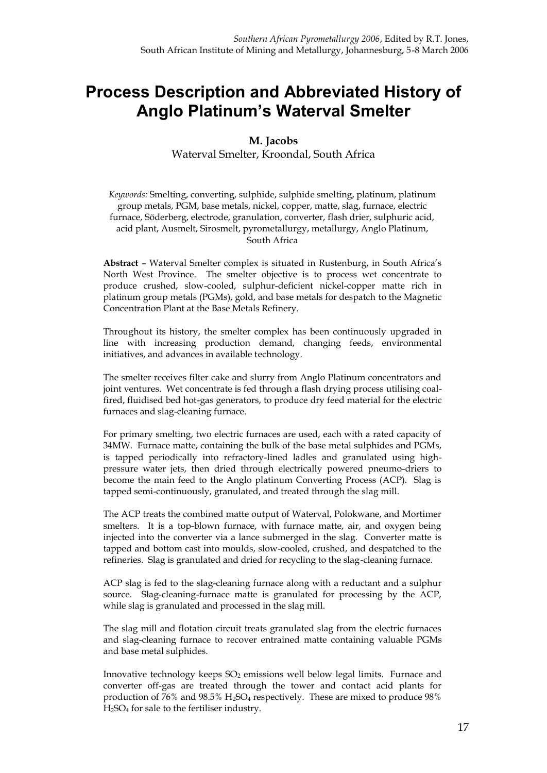# **Process Description and Abbreviated History of Anglo Platinum's Waterval Smelter**

#### **M. Jacobs**

Waterval Smelter, Kroondal, South Africa

*Keywords:* Smelting, converting, sulphide, sulphide smelting, platinum, platinum group metals, PGM, base metals, nickel, copper, matte, slag, furnace, electric furnace, Söderberg, electrode, granulation, converter, flash drier, sulphuric acid, acid plant, Ausmelt, Sirosmelt, pyrometallurgy, metallurgy, Anglo Platinum, South Africa

**Abstract** – Waterval Smelter complex is situated in Rustenburg, in South Africa's North West Province. The smelter objective is to process wet concentrate to produce crushed, slow-cooled, sulphur-deficient nickel-copper matte rich in platinum group metals (PGMs), gold, and base metals for despatch to the Magnetic Concentration Plant at the Base Metals Refinery.

Throughout its history, the smelter complex has been continuously upgraded in line with increasing production demand, changing feeds, environmental initiatives, and advances in available technology.

The smelter receives filter cake and slurry from Anglo Platinum concentrators and joint ventures. Wet concentrate is fed through a flash drying process utilising coalfired, fluidised bed hot-gas generators, to produce dry feed material for the electric furnaces and slag-cleaning furnace.

For primary smelting, two electric furnaces are used, each with a rated capacity of 34MW. Furnace matte, containing the bulk of the base metal sulphides and PGMs, is tapped periodically into refractory-lined ladles and granulated using highpressure water jets, then dried through electrically powered pneumo-driers to become the main feed to the Anglo platinum Converting Process (ACP). Slag is tapped semi-continuously, granulated, and treated through the slag mill.

The ACP treats the combined matte output of Waterval, Polokwane, and Mortimer smelters. It is a top-blown furnace, with furnace matte, air, and oxygen being injected into the converter via a lance submerged in the slag. Converter matte is tapped and bottom cast into moulds, slow-cooled, crushed, and despatched to the refineries. Slag is granulated and dried for recycling to the slag-cleaning furnace.

ACP slag is fed to the slag-cleaning furnace along with a reductant and a sulphur source. Slag-cleaning-furnace matte is granulated for processing by the ACP, while slag is granulated and processed in the slag mill.

The slag mill and flotation circuit treats granulated slag from the electric furnaces and slag-cleaning furnace to recover entrained matte containing valuable PGMs and base metal sulphides.

Innovative technology keeps  $SO_2$  emissions well below legal limits. Furnace and converter off-gas are treated through the tower and contact acid plants for production of 76% and 98.5% H2SO<sup>4</sup> respectively. These are mixed to produce 98% H2SO4 for sale to the fertiliser industry.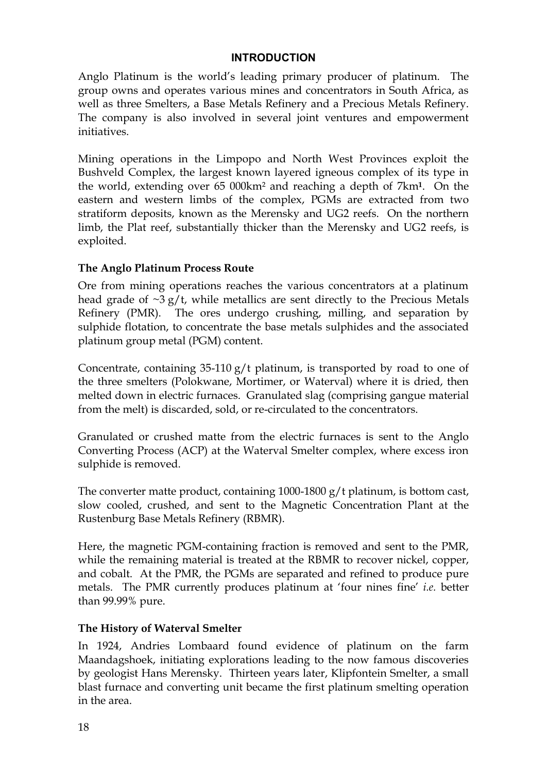#### **INTRODUCTION**

Anglo Platinum is the world's leading primary producer of platinum. The group owns and operates various mines and concentrators in South Africa, as well as three Smelters, a Base Metals Refinery and a Precious Metals Refinery. The company is also involved in several joint ventures and empowerment initiatives.

Mining operations in the Limpopo and North West Provinces exploit the Bushveld Complex, the largest known layered igneous complex of its type in the world, extending over 65 000km² and reaching a depth of 7km**1**. On the eastern and western limbs of the complex, PGMs are extracted from two stratiform deposits, known as the Merensky and UG2 reefs. On the northern limb, the Plat reef, substantially thicker than the Merensky and UG2 reefs, is exploited.

### **The Anglo Platinum Process Route**

Ore from mining operations reaches the various concentrators at a platinum head grade of  $\sim$ 3 g/t, while metallics are sent directly to the Precious Metals Refinery (PMR). The ores undergo crushing, milling, and separation by sulphide flotation, to concentrate the base metals sulphides and the associated platinum group metal (PGM) content.

Concentrate, containing 35-110 g/t platinum, is transported by road to one of the three smelters (Polokwane, Mortimer, or Waterval) where it is dried, then melted down in electric furnaces. Granulated slag (comprising gangue material from the melt) is discarded, sold, or re-circulated to the concentrators.

Granulated or crushed matte from the electric furnaces is sent to the Anglo Converting Process (ACP) at the Waterval Smelter complex, where excess iron sulphide is removed.

The converter matte product, containing 1000-1800 g/t platinum, is bottom cast, slow cooled, crushed, and sent to the Magnetic Concentration Plant at the Rustenburg Base Metals Refinery (RBMR).

Here, the magnetic PGM-containing fraction is removed and sent to the PMR, while the remaining material is treated at the RBMR to recover nickel, copper, and cobalt. At the PMR, the PGMs are separated and refined to produce pure metals. The PMR currently produces platinum at 'four nines fine' *i.e.* better than 99.99% pure.

### **The History of Waterval Smelter**

In 1924, Andries Lombaard found evidence of platinum on the farm Maandagshoek, initiating explorations leading to the now famous discoveries by geologist Hans Merensky. Thirteen years later, Klipfontein Smelter, a small blast furnace and converting unit became the first platinum smelting operation in the area.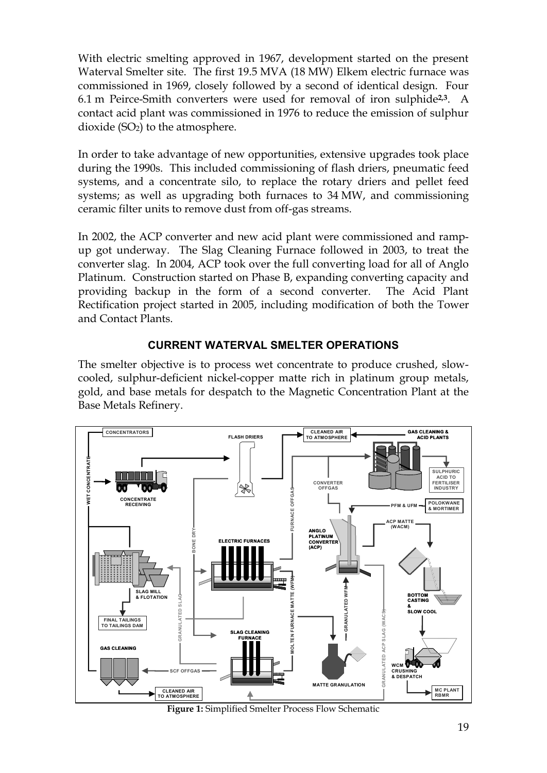With electric smelting approved in 1967, development started on the present Waterval Smelter site. The first 19.5 MVA (18 MW) Elkem electric furnace was commissioned in 1969, closely followed by a second of identical design. Four 6.1 m Peirce-Smith converters were used for removal of iron sulphide**2,3**. A contact acid plant was commissioned in 1976 to reduce the emission of sulphur dioxide  $(SO<sub>2</sub>)$  to the atmosphere.

In order to take advantage of new opportunities, extensive upgrades took place during the 1990s. This included commissioning of flash driers, pneumatic feed systems, and a concentrate silo, to replace the rotary driers and pellet feed systems; as well as upgrading both furnaces to 34 MW, and commissioning ceramic filter units to remove dust from off-gas streams.

In 2002, the ACP converter and new acid plant were commissioned and rampup got underway. The Slag Cleaning Furnace followed in 2003, to treat the converter slag. In 2004, ACP took over the full converting load for all of Anglo Platinum. Construction started on Phase B, expanding converting capacity and providing backup in the form of a second converter. The Acid Plant Rectification project started in 2005, including modification of both the Tower and Contact Plants.

# **CURRENT WATERVAL SMELTER OPERATIONS**

The smelter objective is to process wet concentrate to produce crushed, slowcooled, sulphur-deficient nickel-copper matte rich in platinum group metals, gold, and base metals for despatch to the Magnetic Concentration Plant at the Base Metals Refinery.



**Figure 1:** Simplified Smelter Process Flow Schematic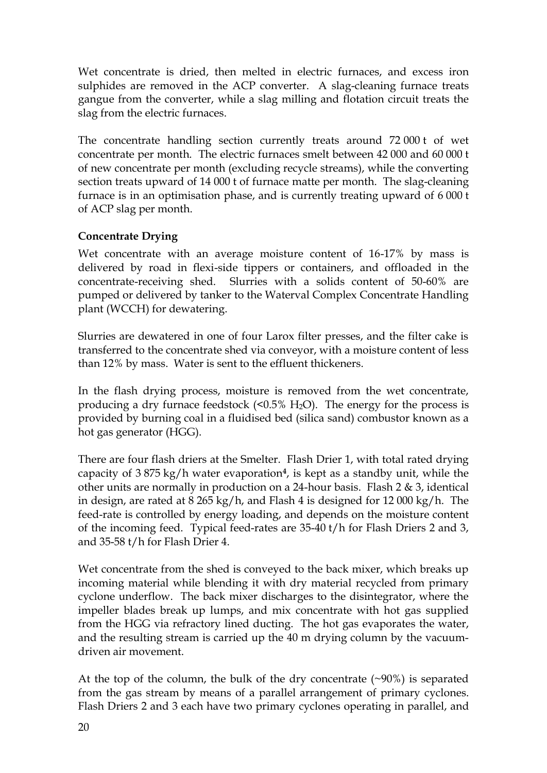Wet concentrate is dried, then melted in electric furnaces, and excess iron sulphides are removed in the ACP converter. A slag-cleaning furnace treats gangue from the converter, while a slag milling and flotation circuit treats the slag from the electric furnaces.

The concentrate handling section currently treats around 72 000 t of wet concentrate per month. The electric furnaces smelt between 42 000 and 60 000 t of new concentrate per month (excluding recycle streams), while the converting section treats upward of 14 000 t of furnace matte per month. The slag-cleaning furnace is in an optimisation phase, and is currently treating upward of 6 000 t of ACP slag per month.

# **Concentrate Drying**

Wet concentrate with an average moisture content of 16-17% by mass is delivered by road in flexi-side tippers or containers, and offloaded in the concentrate-receiving shed. Slurries with a solids content of 50-60% are pumped or delivered by tanker to the Waterval Complex Concentrate Handling plant (WCCH) for dewatering.

Slurries are dewatered in one of four Larox filter presses, and the filter cake is transferred to the concentrate shed via conveyor, with a moisture content of less than 12% by mass. Water is sent to the effluent thickeners.

In the flash drying process, moisture is removed from the wet concentrate, producing a dry furnace feedstock  $(50.5\% \text{ H}_2\text{O})$ . The energy for the process is provided by burning coal in a fluidised bed (silica sand) combustor known as a hot gas generator (HGG).

There are four flash driers at the Smelter. Flash Drier 1, with total rated drying capacity of 3 875 kg/h water evaporation**4**, is kept as a standby unit, while the other units are normally in production on a 24-hour basis. Flash 2 & 3, identical in design, are rated at 8 265 kg/h, and Flash 4 is designed for 12 000 kg/h. The feed-rate is controlled by energy loading, and depends on the moisture content of the incoming feed. Typical feed-rates are 35-40 t/h for Flash Driers 2 and 3, and 35-58 t/h for Flash Drier 4.

Wet concentrate from the shed is conveyed to the back mixer, which breaks up incoming material while blending it with dry material recycled from primary cyclone underflow. The back mixer discharges to the disintegrator, where the impeller blades break up lumps, and mix concentrate with hot gas supplied from the HGG via refractory lined ducting. The hot gas evaporates the water, and the resulting stream is carried up the 40 m drying column by the vacuumdriven air movement.

At the top of the column, the bulk of the dry concentrate (~90%) is separated from the gas stream by means of a parallel arrangement of primary cyclones. Flash Driers 2 and 3 each have two primary cyclones operating in parallel, and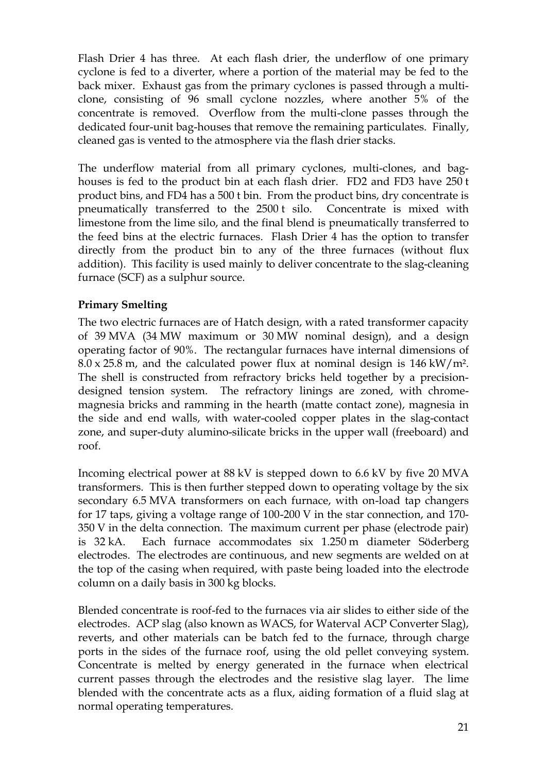Flash Drier 4 has three. At each flash drier, the underflow of one primary cyclone is fed to a diverter, where a portion of the material may be fed to the back mixer. Exhaust gas from the primary cyclones is passed through a multiclone, consisting of 96 small cyclone nozzles, where another 5% of the concentrate is removed. Overflow from the multi-clone passes through the dedicated four-unit bag-houses that remove the remaining particulates. Finally, cleaned gas is vented to the atmosphere via the flash drier stacks.

The underflow material from all primary cyclones, multi-clones, and baghouses is fed to the product bin at each flash drier. FD2 and FD3 have 250 t product bins, and FD4 has a 500 t bin. From the product bins, dry concentrate is pneumatically transferred to the 2500 t silo. Concentrate is mixed with limestone from the lime silo, and the final blend is pneumatically transferred to the feed bins at the electric furnaces. Flash Drier 4 has the option to transfer directly from the product bin to any of the three furnaces (without flux addition). This facility is used mainly to deliver concentrate to the slag-cleaning furnace (SCF) as a sulphur source.

## **Primary Smelting**

The two electric furnaces are of Hatch design, with a rated transformer capacity of 39 MVA (34 MW maximum or 30 MW nominal design), and a design operating factor of 90%. The rectangular furnaces have internal dimensions of  $8.0 \times 25.8$  m, and the calculated power flux at nominal design is  $146 \text{ kW/m}^2$ . The shell is constructed from refractory bricks held together by a precisiondesigned tension system. The refractory linings are zoned, with chromemagnesia bricks and ramming in the hearth (matte contact zone), magnesia in the side and end walls, with water-cooled copper plates in the slag-contact zone, and super-duty alumino-silicate bricks in the upper wall (freeboard) and roof.

Incoming electrical power at 88 kV is stepped down to 6.6 kV by five 20 MVA transformers. This is then further stepped down to operating voltage by the six secondary 6.5 MVA transformers on each furnace, with on-load tap changers for 17 taps, giving a voltage range of 100-200 V in the star connection, and 170- 350 V in the delta connection. The maximum current per phase (electrode pair) is 32 kA. Each furnace accommodates six 1.250 m diameter Söderberg electrodes. The electrodes are continuous, and new segments are welded on at the top of the casing when required, with paste being loaded into the electrode column on a daily basis in 300 kg blocks.

Blended concentrate is roof-fed to the furnaces via air slides to either side of the electrodes. ACP slag (also known as WACS, for Waterval ACP Converter Slag), reverts, and other materials can be batch fed to the furnace, through charge ports in the sides of the furnace roof, using the old pellet conveying system. Concentrate is melted by energy generated in the furnace when electrical current passes through the electrodes and the resistive slag layer. The lime blended with the concentrate acts as a flux, aiding formation of a fluid slag at normal operating temperatures.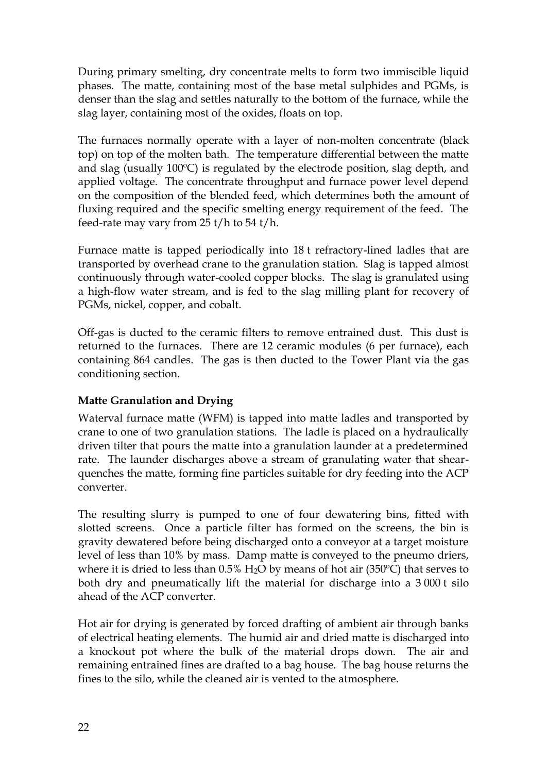During primary smelting, dry concentrate melts to form two immiscible liquid phases. The matte, containing most of the base metal sulphides and PGMs, is denser than the slag and settles naturally to the bottom of the furnace, while the slag layer, containing most of the oxides, floats on top.

The furnaces normally operate with a layer of non-molten concentrate (black top) on top of the molten bath. The temperature differential between the matte and slag (usually 100ºC) is regulated by the electrode position, slag depth, and applied voltage. The concentrate throughput and furnace power level depend on the composition of the blended feed, which determines both the amount of fluxing required and the specific smelting energy requirement of the feed. The feed-rate may vary from 25 t/h to 54 t/h.

Furnace matte is tapped periodically into 18 t refractory-lined ladles that are transported by overhead crane to the granulation station. Slag is tapped almost continuously through water-cooled copper blocks. The slag is granulated using a high-flow water stream, and is fed to the slag milling plant for recovery of PGMs, nickel, copper, and cobalt.

Off-gas is ducted to the ceramic filters to remove entrained dust. This dust is returned to the furnaces. There are 12 ceramic modules (6 per furnace), each containing 864 candles. The gas is then ducted to the Tower Plant via the gas conditioning section.

# **Matte Granulation and Drying**

Waterval furnace matte (WFM) is tapped into matte ladles and transported by crane to one of two granulation stations. The ladle is placed on a hydraulically driven tilter that pours the matte into a granulation launder at a predetermined rate. The launder discharges above a stream of granulating water that shearquenches the matte, forming fine particles suitable for dry feeding into the ACP converter.

The resulting slurry is pumped to one of four dewatering bins, fitted with slotted screens. Once a particle filter has formed on the screens, the bin is gravity dewatered before being discharged onto a conveyor at a target moisture level of less than 10% by mass. Damp matte is conveyed to the pneumo driers, where it is dried to less than  $0.5\%$  H<sub>2</sub>O by means of hot air (350 $^{\circ}$ C) that serves to both dry and pneumatically lift the material for discharge into a 3 000 t silo ahead of the ACP converter.

Hot air for drying is generated by forced drafting of ambient air through banks of electrical heating elements. The humid air and dried matte is discharged into a knockout pot where the bulk of the material drops down. The air and remaining entrained fines are drafted to a bag house. The bag house returns the fines to the silo, while the cleaned air is vented to the atmosphere.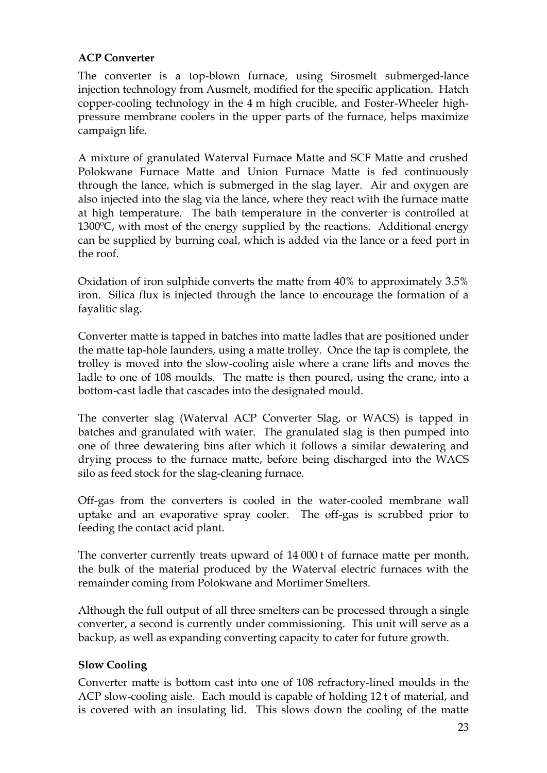## **ACP Converter**

The converter is a top-blown furnace, using Sirosmelt submerged-lance injection technology from Ausmelt, modified for the specific application. Hatch copper-cooling technology in the 4 m high crucible, and Foster-Wheeler highpressure membrane coolers in the upper parts of the furnace, helps maximize campaign life.

A mixture of granulated Waterval Furnace Matte and SCF Matte and crushed Polokwane Furnace Matte and Union Furnace Matte is fed continuously through the lance, which is submerged in the slag layer. Air and oxygen are also injected into the slag via the lance, where they react with the furnace matte at high temperature. The bath temperature in the converter is controlled at 1300ºC, with most of the energy supplied by the reactions. Additional energy can be supplied by burning coal, which is added via the lance or a feed port in the roof.

Oxidation of iron sulphide converts the matte from 40% to approximately 3.5% iron. Silica flux is injected through the lance to encourage the formation of a fayalitic slag.

Converter matte is tapped in batches into matte ladles that are positioned under the matte tap-hole launders, using a matte trolley. Once the tap is complete, the trolley is moved into the slow-cooling aisle where a crane lifts and moves the ladle to one of 108 moulds. The matte is then poured, using the crane, into a bottom-cast ladle that cascades into the designated mould.

The converter slag (Waterval ACP Converter Slag, or WACS) is tapped in batches and granulated with water. The granulated slag is then pumped into one of three dewatering bins after which it follows a similar dewatering and drying process to the furnace matte, before being discharged into the WACS silo as feed stock for the slag-cleaning furnace.

Off-gas from the converters is cooled in the water-cooled membrane wall uptake and an evaporative spray cooler. The off-gas is scrubbed prior to feeding the contact acid plant.

The converter currently treats upward of 14 000 t of furnace matte per month, the bulk of the material produced by the Waterval electric furnaces with the remainder coming from Polokwane and Mortimer Smelters.

Although the full output of all three smelters can be processed through a single converter, a second is currently under commissioning. This unit will serve as a backup, as well as expanding converting capacity to cater for future growth.

### **Slow Cooling**

Converter matte is bottom cast into one of 108 refractory-lined moulds in the ACP slow-cooling aisle. Each mould is capable of holding 12 t of material, and is covered with an insulating lid. This slows down the cooling of the matte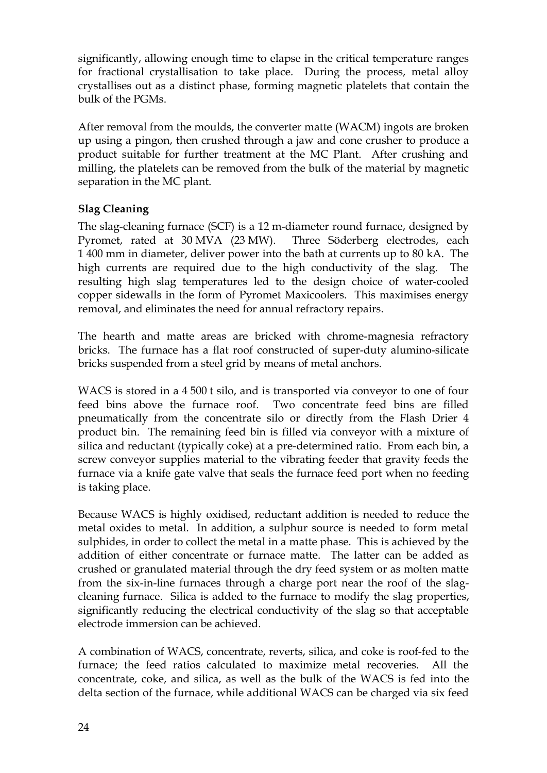significantly, allowing enough time to elapse in the critical temperature ranges for fractional crystallisation to take place. During the process, metal alloy crystallises out as a distinct phase, forming magnetic platelets that contain the bulk of the PGMs.

After removal from the moulds, the converter matte (WACM) ingots are broken up using a pingon, then crushed through a jaw and cone crusher to produce a product suitable for further treatment at the MC Plant. After crushing and milling, the platelets can be removed from the bulk of the material by magnetic separation in the MC plant.

# **Slag Cleaning**

The slag-cleaning furnace (SCF) is a 12 m-diameter round furnace, designed by Pyromet, rated at 30 MVA (23 MW). Three Söderberg electrodes, each 1 400 mm in diameter, deliver power into the bath at currents up to 80 kA. The high currents are required due to the high conductivity of the slag. The resulting high slag temperatures led to the design choice of water-cooled copper sidewalls in the form of Pyromet Maxicoolers. This maximises energy removal, and eliminates the need for annual refractory repairs.

The hearth and matte areas are bricked with chrome-magnesia refractory bricks. The furnace has a flat roof constructed of super-duty alumino-silicate bricks suspended from a steel grid by means of metal anchors.

WACS is stored in a 4 500 t silo, and is transported via conveyor to one of four feed bins above the furnace roof. Two concentrate feed bins are filled pneumatically from the concentrate silo or directly from the Flash Drier 4 product bin. The remaining feed bin is filled via conveyor with a mixture of silica and reductant (typically coke) at a pre-determined ratio. From each bin, a screw conveyor supplies material to the vibrating feeder that gravity feeds the furnace via a knife gate valve that seals the furnace feed port when no feeding is taking place.

Because WACS is highly oxidised, reductant addition is needed to reduce the metal oxides to metal. In addition, a sulphur source is needed to form metal sulphides, in order to collect the metal in a matte phase. This is achieved by the addition of either concentrate or furnace matte. The latter can be added as crushed or granulated material through the dry feed system or as molten matte from the six-in-line furnaces through a charge port near the roof of the slagcleaning furnace. Silica is added to the furnace to modify the slag properties, significantly reducing the electrical conductivity of the slag so that acceptable electrode immersion can be achieved.

A combination of WACS, concentrate, reverts, silica, and coke is roof-fed to the furnace; the feed ratios calculated to maximize metal recoveries. All the concentrate, coke, and silica, as well as the bulk of the WACS is fed into the delta section of the furnace, while additional WACS can be charged via six feed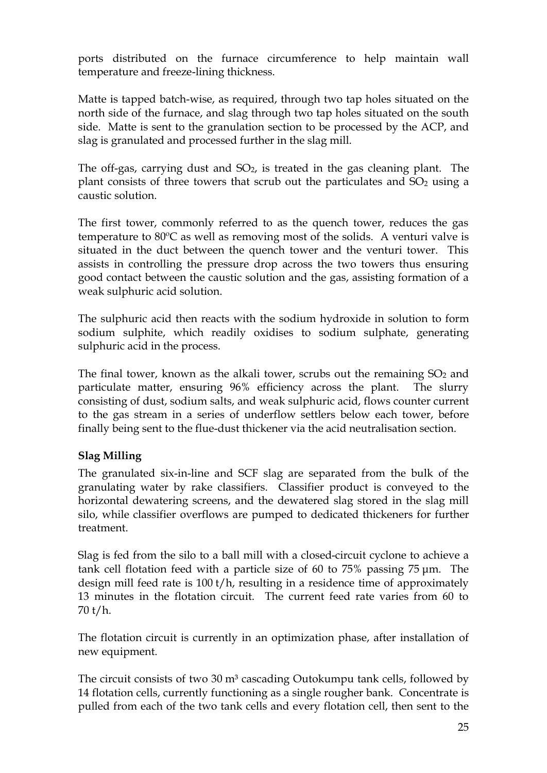ports distributed on the furnace circumference to help maintain wall temperature and freeze-lining thickness.

Matte is tapped batch-wise, as required, through two tap holes situated on the north side of the furnace, and slag through two tap holes situated on the south side. Matte is sent to the granulation section to be processed by the ACP, and slag is granulated and processed further in the slag mill.

The off-gas, carrying dust and  $SO<sub>2</sub>$ , is treated in the gas cleaning plant. The plant consists of three towers that scrub out the particulates and  $SO<sub>2</sub>$  using a caustic solution.

The first tower, commonly referred to as the quench tower, reduces the gas temperature to 80ºC as well as removing most of the solids. A venturi valve is situated in the duct between the quench tower and the venturi tower. This assists in controlling the pressure drop across the two towers thus ensuring good contact between the caustic solution and the gas, assisting formation of a weak sulphuric acid solution.

The sulphuric acid then reacts with the sodium hydroxide in solution to form sodium sulphite, which readily oxidises to sodium sulphate, generating sulphuric acid in the process.

The final tower, known as the alkali tower, scrubs out the remaining  $SO<sub>2</sub>$  and particulate matter, ensuring 96% efficiency across the plant. The slurry consisting of dust, sodium salts, and weak sulphuric acid, flows counter current to the gas stream in a series of underflow settlers below each tower, before finally being sent to the flue-dust thickener via the acid neutralisation section.

# **Slag Milling**

The granulated six-in-line and SCF slag are separated from the bulk of the granulating water by rake classifiers. Classifier product is conveyed to the horizontal dewatering screens, and the dewatered slag stored in the slag mill silo, while classifier overflows are pumped to dedicated thickeners for further treatment.

Slag is fed from the silo to a ball mill with a closed-circuit cyclone to achieve a tank cell flotation feed with a particle size of 60 to 75% passing 75 μm. The design mill feed rate is 100 t/h, resulting in a residence time of approximately 13 minutes in the flotation circuit. The current feed rate varies from 60 to 70 t/h.

The flotation circuit is currently in an optimization phase, after installation of new equipment.

The circuit consists of two  $30 \text{ m}^3$  cascading Outokumpu tank cells, followed by 14 flotation cells, currently functioning as a single rougher bank. Concentrate is pulled from each of the two tank cells and every flotation cell, then sent to the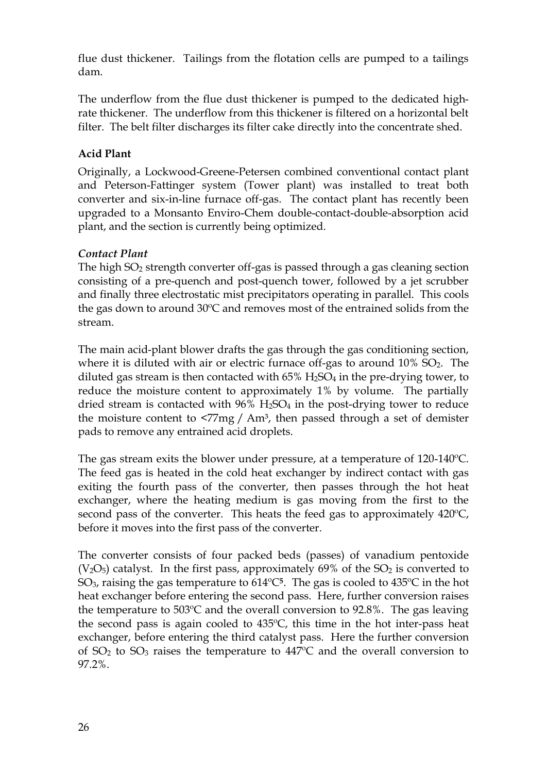flue dust thickener. Tailings from the flotation cells are pumped to a tailings dam.

The underflow from the flue dust thickener is pumped to the dedicated highrate thickener. The underflow from this thickener is filtered on a horizontal belt filter. The belt filter discharges its filter cake directly into the concentrate shed.

# **Acid Plant**

Originally, a Lockwood-Greene-Petersen combined conventional contact plant and Peterson-Fattinger system (Tower plant) was installed to treat both converter and six-in-line furnace off-gas. The contact plant has recently been upgraded to a Monsanto Enviro-Chem double-contact-double-absorption acid plant, and the section is currently being optimized.

# *Contact Plant*

The high  $SO<sub>2</sub>$  strength converter off-gas is passed through a gas cleaning section consisting of a pre-quench and post-quench tower, followed by a jet scrubber and finally three electrostatic mist precipitators operating in parallel. This cools the gas down to around 30ºC and removes most of the entrained solids from the stream.

The main acid-plant blower drafts the gas through the gas conditioning section, where it is diluted with air or electric furnace off-gas to around  $10\%$  SO<sub>2</sub>. The diluted gas stream is then contacted with  $65\%$  H<sub>2</sub>SO<sub>4</sub> in the pre-drying tower, to reduce the moisture content to approximately 1% by volume. The partially dried stream is contacted with  $96\%$  H<sub>2</sub>SO<sub>4</sub> in the post-drying tower to reduce the moisture content to  $\langle 77 \rangle$  / Am<sup>3</sup>, then passed through a set of demister pads to remove any entrained acid droplets.

The gas stream exits the blower under pressure, at a temperature of 120-140ºC. The feed gas is heated in the cold heat exchanger by indirect contact with gas exiting the fourth pass of the converter, then passes through the hot heat exchanger, where the heating medium is gas moving from the first to the second pass of the converter. This heats the feed gas to approximately 420ºC, before it moves into the first pass of the converter.

The converter consists of four packed beds (passes) of vanadium pentoxide  $(V<sub>2</sub>O<sub>5</sub>)$  catalyst. In the first pass, approximately 69% of the SO<sub>2</sub> is converted to SO3, raising the gas temperature to 614ºC**5**. The gas is cooled to 435ºC in the hot heat exchanger before entering the second pass. Here, further conversion raises the temperature to  $503^{\circ}$ C and the overall conversion to 92.8%. The gas leaving the second pass is again cooled to 435ºC, this time in the hot inter-pass heat exchanger, before entering the third catalyst pass. Here the further conversion of  $SO_2$  to  $SO_3$  raises the temperature to  $447^{\circ}$ C and the overall conversion to 97.2%.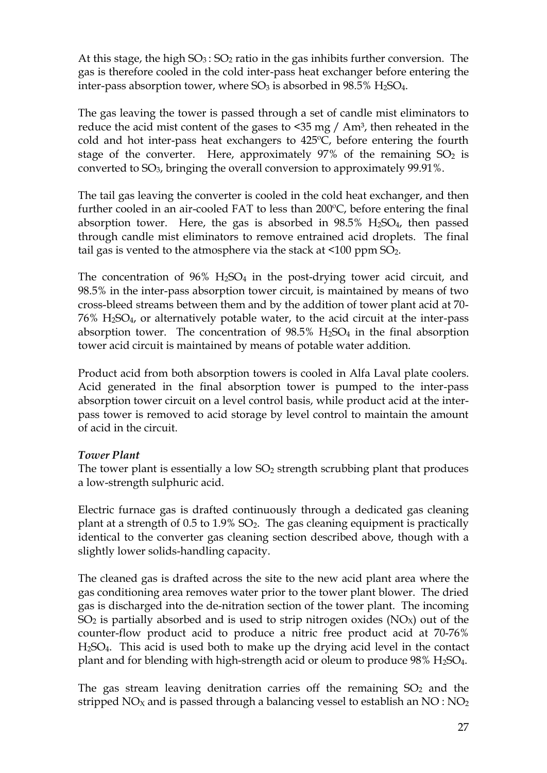At this stage, the high  $SO_3$ :  $SO_2$  ratio in the gas inhibits further conversion. The gas is therefore cooled in the cold inter-pass heat exchanger before entering the inter-pass absorption tower, where  $SO_3$  is absorbed in 98.5% H<sub>2</sub>SO<sub>4</sub>.

The gas leaving the tower is passed through a set of candle mist eliminators to reduce the acid mist content of the gases to  $\leq$ 35 mg / Am<sup>3</sup>, then reheated in the cold and hot inter-pass heat exchangers to 425ºC, before entering the fourth stage of the converter. Here, approximately  $97\%$  of the remaining  $SO_2$  is converted to SO3, bringing the overall conversion to approximately 99.91%.

The tail gas leaving the converter is cooled in the cold heat exchanger, and then further cooled in an air-cooled FAT to less than 200ºC, before entering the final absorption tower. Here, the gas is absorbed in  $98.5\%$  H<sub>2</sub>SO<sub>4</sub>, then passed through candle mist eliminators to remove entrained acid droplets. The final tail gas is vented to the atmosphere via the stack at  $\leq 100$  ppm SO<sub>2</sub>.

The concentration of  $96\%$  H<sub>2</sub>SO<sub>4</sub> in the post-drying tower acid circuit, and 98.5% in the inter-pass absorption tower circuit, is maintained by means of two cross-bleed streams between them and by the addition of tower plant acid at 70-  $76\%$  H<sub>2</sub>SO<sub>4</sub>, or alternatively potable water, to the acid circuit at the inter-pass absorption tower. The concentration of  $98.5\%$  H<sub>2</sub>SO<sub>4</sub> in the final absorption tower acid circuit is maintained by means of potable water addition.

Product acid from both absorption towers is cooled in Alfa Laval plate coolers. Acid generated in the final absorption tower is pumped to the inter-pass absorption tower circuit on a level control basis, while product acid at the interpass tower is removed to acid storage by level control to maintain the amount of acid in the circuit.

### *Tower Plant*

The tower plant is essentially a low  $SO<sub>2</sub>$  strength scrubbing plant that produces a low-strength sulphuric acid.

Electric furnace gas is drafted continuously through a dedicated gas cleaning plant at a strength of 0.5 to 1.9% SO2. The gas cleaning equipment is practically identical to the converter gas cleaning section described above, though with a slightly lower solids-handling capacity.

The cleaned gas is drafted across the site to the new acid plant area where the gas conditioning area removes water prior to the tower plant blower. The dried gas is discharged into the de-nitration section of the tower plant. The incoming  $SO_2$  is partially absorbed and is used to strip nitrogen oxides ( $NO<sub>X</sub>$ ) out of the counter-flow product acid to produce a nitric free product acid at 70-76% H2SO4. This acid is used both to make up the drying acid level in the contact plant and for blending with high-strength acid or oleum to produce  $98\%$  H<sub>2</sub>SO<sub>4</sub>.

The gas stream leaving denitration carries off the remaining  $SO<sub>2</sub>$  and the stripped  $NO<sub>X</sub>$  and is passed through a balancing vessel to establish an  $NO: NO<sub>2</sub>$